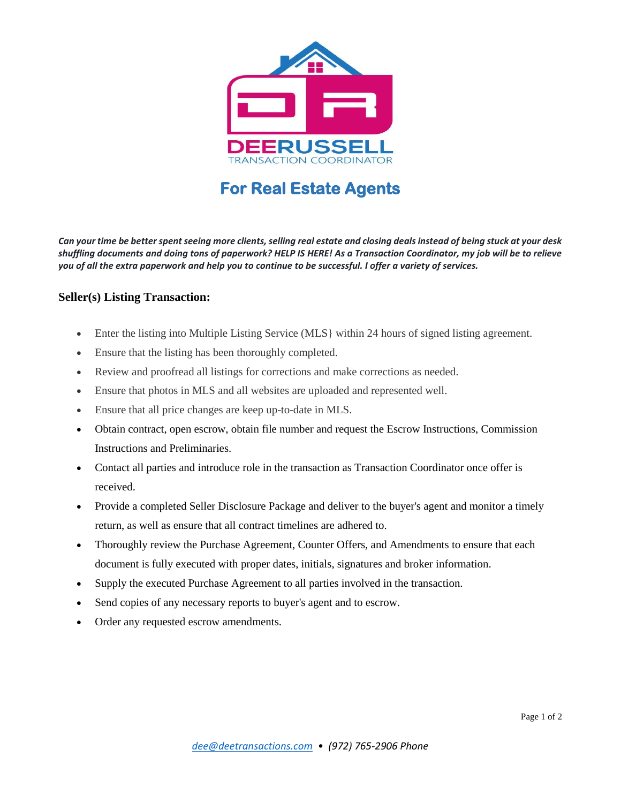

## **For Real Estate Agents**

*Can your time be better spent seeing more clients, selling real estate and closing deals instead of being stuck at your desk shuffling documents and doing tons of paperwork? HELP IS HERE! As a Transaction Coordinator, my job will be to relieve you of all the extra paperwork and help you to continue to be successful. I offer a variety of services.* 

## **Seller(s) Listing Transaction:**

- Enter the listing into Multiple Listing Service (MLS} within 24 hours of signed listing agreement.
- Ensure that the listing has been thoroughly completed.
- Review and proofread all listings for corrections and make corrections as needed.
- Ensure that photos in MLS and all websites are uploaded and represented well.
- Ensure that all price changes are keep up-to-date in MLS.
- Obtain contract, open escrow, obtain file number and request the Escrow Instructions, Commission Instructions and Preliminaries.
- Contact all parties and introduce role in the transaction as Transaction Coordinator once offer is received.
- Provide a completed Seller Disclosure Package and deliver to the buyer's agent and monitor a timely return, as well as ensure that all contract timelines are adhered to.
- Thoroughly review the Purchase Agreement, Counter Offers, and Amendments to ensure that each document is fully executed with proper dates, initials, signatures and broker information.
- Supply the executed Purchase Agreement to all parties involved in the transaction.
- Send copies of any necessary reports to buyer's agent and to escrow.
- Order any requested escrow amendments.